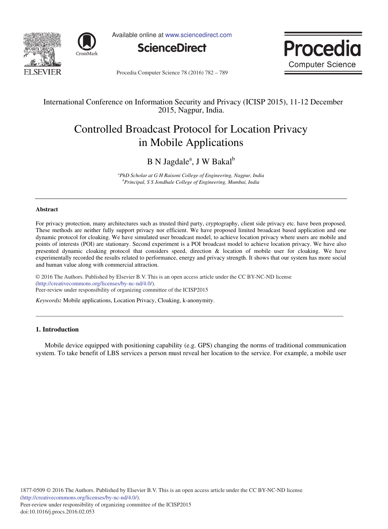



Available online at www.sciencedirect.com





Procedia Computer Science 78 (2016) 782 - 789

### International Conference on Information Security and Privacy (ICISP 2015), 11-12 December 2015, Nagpur, India.

# Controlled Broadcast Protocol for Location Privacy in Mobile Applications

## B N Jagdale<sup>a</sup>, J W Bakal<sup>b</sup>

*<sup>a</sup>PhD Scholar at G H Raisoni College of Engineering, Nagpur, India <sup>b</sup>Principal, S S Jondhale College of Engineering, Mumbai, India* 

#### **Abstract**

For privacy protection, many architectures such as trusted third party, cryptography, client side privacy etc. have been proposed. These methods are neither fully support privacy nor efficient. We have proposed limited broadcast based application and one dynamic protocol for cloaking. We have simulated user broadcast model, to achieve location privacy where users are mobile and points of interests (POI) are stationary. Second experiment is a POI broadcast model to achieve location privacy. We have also presented dynamic cloaking protocol that considers speed, direction & location of mobile user for cloaking. We have experimentally recorded the results related to performance, energy and privacy strength. It shows that our system has more social and human value along with commercial attraction.

© 2016 The Authors. Published by Elsevier B.V. © 2016 The Authors. Published by Elsevier B.V. This is an open access article under the CC BY-NC-ND license Peer-review under responsibility of organizing committee of the ICISP2015. Peer-review under responsibility of organizing committee of the ICISP2015(http://creativecommons.org/licenses/by-nc-nd/4.0/).

*Keywords:* Mobile applications, Location Privacy, Cloaking, k-anonymity.

#### **1. Introduction**

Mobile device equipped with positioning capability (e.g. GPS) changing the norms of traditional communication system. To take benefit of LBS services a person must reveal her location to the service. For example, a mobile user

\_\_\_\_\_\_\_\_\_\_\_\_\_\_\_\_\_\_\_\_\_\_\_\_\_\_\_\_\_\_\_\_\_\_\_\_\_\_\_\_\_\_\_\_\_\_\_\_\_\_\_\_\_\_\_\_\_\_\_\_\_\_\_\_\_\_\_\_\_\_\_\_\_\_\_\_\_\_\_\_\_\_\_\_\_\_\_\_\_\_\_\_\_\_\_\_\_\_\_\_\_\_\_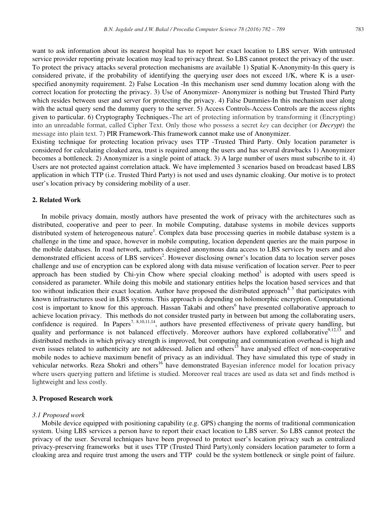want to ask information about its nearest hospital has to report her exact location to LBS server. With untrusted service provider reporting private location may lead to privacy threat. So LBS cannot protect the privacy of the user. To protect the privacy attacks several protection mechanisms are available 1) Spatial K-Anonymity-In this query is considered private, if the probability of identifying the querying user does not exceed 1/K, where K is a userspecified anonymity requirement. 2) False Location -In this mechanism user send dummy location along with the correct location for protecting the privacy. 3) Use of Anonymizer- Anonymizer is nothing but Trusted Third Party which resides between user and server for protecting the privacy. 4) False Dummies-In this mechanism user along with the actual query send the dummy query to the server. 5) Access Controls-Access Controls are the access rights given to particular. 6) Cryptography Techniques.-The art of protecting information by transforming it (Encrypting) into an unreadable format, called Cipher Text. Only those who possess a secret *key* can decipher (or *Decrypt*) the message into plain text. 7) PIR Framework-This framework cannot make use of Anonymizer. Existing technique for protecting location privacy uses TTP -Trusted Third Party. Only location parameter is

considered for calculating cloaked area, trust is required among the users and has several drawbacks 1) Anonymizer becomes a bottleneck. 2) Anonymizer is a single point of attack. 3) A large number of users must subscribe to it. 4) Users are not protected against correlation attack. We have implemented 3 scenarios based on broadcast based LBS application in which TTP (i.e. Trusted Third Party) is not used and uses dynamic cloaking. Our motive is to protect user's location privacy by considering mobility of a user.

#### **2. Related Work**

In mobile privacy domain, mostly authors have presented the work of privacy with the architectures such as distributed, cooperative and peer to peer. In mobile Computing, database systems in mobile devices supports distributed system of heterogeneous nature<sup>1</sup>. Complex data base processing queries in mobile database system is a challenge in the time and space, however in mobile computing, location dependent queries are the main purpose in the mobile databases. In road network, authors designed anonymous data access to LBS services by users and also demonstrated efficient access of LBS services<sup>2</sup>. However disclosing owner's location data to location server poses challenge and use of encryption can be explored along with data misuse verification of location server. Peer to peer approach has been studied by Chi-yin Chow where special cloaking method<sup>3</sup> is adopted with users speed is considered as parameter. While doing this mobile and stationary entities helps the location based services and that too without indication their exact location. Author have proposed the distributed approach<sup>4, 5</sup> that participates with known infrastructures used in LBS systems. This approach is depending on holomorphic encryption. Computational cost is important to know for this approach. Hassan Takabi and others<sup>6</sup> have presented collaborative approach to achieve location privacy. This methods do not consider trusted party in between but among the collaborating users, confidence is required. In Papers<sup>7, 8,10,11,14</sup>, authors have presented effectiveness of private query handling, but quality and performance is not balanced effectively. Moreover authors have explored collaborative<sup>9,12,13</sup> and distributed methods in which privacy strength is improved, but computing and communication overhead is high and even issues related to authenticity are not addressed. Julien and others<sup>15</sup> have analysed effect of non-cooperative mobile nodes to achieve maximum benefit of privacy as an individual. They have simulated this type of study in vehicular networks. Reza Shokri and others<sup>16</sup> have demonstrated Bayesian inference model for location privacy where users querying pattern and lifetime is studied. Moreover real traces are used as data set and finds method is lightweight and less costly.

#### **3. Proposed Research work**

#### *3.1 Proposed work*

Mobile device equipped with positioning capability (e.g. GPS) changing the norms of traditional communication system. Using LBS services a person have to report their exact location to LBS server. So LBS cannot protect the privacy of the user. Several techniques have been proposed to protect user's location privacy such as centralized privacy-preserving frameworks but it uses TTP (Trusted Third Party),only considers location parameter to form a cloaking area and require trust among the users and TTP could be the system bottleneck or single point of failure.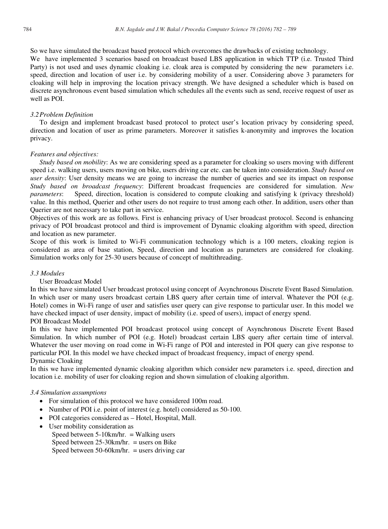So we have simulated the broadcast based protocol which overcomes the drawbacks of existing technology.

We have implemented 3 scenarios based on broadcast based LBS application in which TTP (i.e. Trusted Third Party) is not used and uses dynamic cloaking i.e. cloak area is computed by considering the new parameters i.e. speed, direction and location of user i.e. by considering mobility of a user. Considering above 3 parameters for cloaking will help in improving the location privacy strength. We have designed a scheduler which is based on discrete asynchronous event based simulation which schedules all the events such as send, receive request of user as well as POI.

#### *3.2Problem Definition*

To design and implement broadcast based protocol to protect user's location privacy by considering speed, direction and location of user as prime parameters. Moreover it satisfies k-anonymity and improves the location privacy.

#### *Features and objectives:*

*Study based on mobility*: As we are considering speed as a parameter for cloaking so users moving with different speed i.e. walking users, users moving on bike, users driving car etc. can be taken into consideration. *Study based on user density*: User density means we are going to increase the number of queries and see its impact on response *Study based on broadcast frequency*: Different broadcast frequencies are considered for simulation. *New parameters*: Speed, direction, location is considered to compute cloaking and satisfying k (privacy threshold) value. In this method, Querier and other users do not require to trust among each other. In addition, users other than Querier are not necessary to take part in service.

Objectives of this work are as follows. First is enhancing privacy of User broadcast protocol. Second is enhancing privacy of POI broadcast protocol and third is improvement of Dynamic cloaking algorithm with speed, direction and location as new parameter.

Scope of this work is limited to Wi-Fi communication technology which is a 100 meters, cloaking region is considered as area of base station, Speed, direction and location as parameters are considered for cloaking. Simulation works only for 25-30 users because of concept of multithreading.

#### *3.3 Modules*

User Broadcast Model

In this we have simulated User broadcast protocol using concept of Asynchronous Discrete Event Based Simulation. In which user or many users broadcast certain LBS query after certain time of interval. Whatever the POI (e.g. Hotel) comes in Wi-Fi range of user and satisfies user query can give response to particular user. In this model we have checked impact of user density, impact of mobility (i.e. speed of users), impact of energy spend.

#### POI Broadcast Model

In this we have implemented POI broadcast protocol using concept of Asynchronous Discrete Event Based Simulation. In which number of POI (e.g. Hotel) broadcast certain LBS query after certain time of interval. Whatever the user moving on road come in Wi-Fi range of POI and interested in POI query can give response to particular POI. In this model we have checked impact of broadcast frequency, impact of energy spend. Dynamic Cloaking

In this we have implemented dynamic cloaking algorithm which consider new parameters i.e. speed, direction and location i.e. mobility of user for cloaking region and shown simulation of cloaking algorithm.

#### *3.4 Simulation assumptions*

- For simulation of this protocol we have considered 100m road.
- Number of POI i.e. point of interest (e.g. hotel) considered as 50-100.
- POI categories considered as Hotel, Hospital, Mall.
- User mobility consideration as
	- Speed between  $5-10$ km/hr. = Walking users Speed between  $25-30$ km/hr. = users on Bike Speed between 50-60km/hr. = users driving car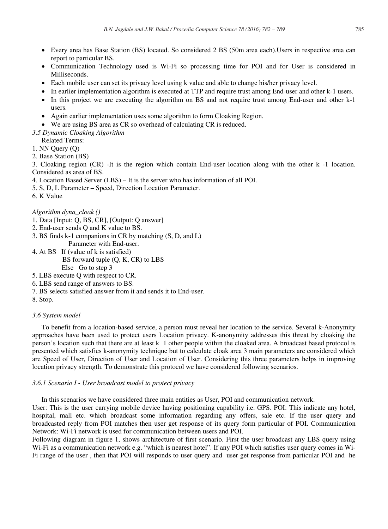- x Every area has Base Station (BS) located. So considered 2 BS (50m area each).Users in respective area can report to particular BS.
- Communication Technology used is Wi-Fi so processing time for POI and for User is considered in Milliseconds.
- x Each mobile user can set its privacy level using k value and able to change his/her privacy level.
- In earlier implementation algorithm is executed at TTP and require trust among End-user and other k-1 users.
- In this project we are executing the algorithm on BS and not require trust among End-user and other k-1 users.
- Again earlier implementation uses some algorithm to form Cloaking Region.
- We are using BS area as CR so overhead of calculating CR is reduced.
- *3.5 Dynamic Cloaking Algorithm*
- Related Terms:
- 1. NN Query (Q)
- 2. Base Station (BS)

3. Cloaking region (CR) -It is the region which contain End-user location along with the other k -1 location. Considered as area of BS.

- 4. Location Based Server (LBS) It is the server who has information of all POI.
- 5. S, D, L Parameter Speed, Direction Location Parameter.
- 6. K Value

#### *Algorithm dyna\_cloak ()*

- 1. Data [Input: Q, BS, CR], [Output: Q answer]
- 2. End-user sends Q and K value to BS.
- 3. BS finds k-1 companions in CR by matching (S, D, and L) Parameter with End-user.
- 4. At BS If (value of k is satisfied)
	- BS forward tuple (Q, K, CR) to LBS Else Go to step 3
	-
- 5. LBS execute Q with respect to CR. 6. LBS send range of answers to BS.
- 7. BS selects satisfied answer from it and sends it to End-user.
- 8. Stop.

#### *3.6 System model*

To benefit from a location-based service, a person must reveal her location to the service. Several k-Anonymity approaches have been used to protect users Location privacy. K-anonymity addresses this threat by cloaking the person's location such that there are at least k-1 other people within the cloaked area. A broadcast based protocol is presented which satisfies k-anonymity technique but to calculate cloak area 3 main parameters are considered which are Speed of User, Direction of User and Location of User. Considering this three parameters helps in improving location privacy strength. To demonstrate this protocol we have considered following scenarios.

#### *3.6.1 Scenario I - User broadcast model to protect privacy*

In this scenarios we have considered three main entities as User, POI and communication network.

User: This is the user carrying mobile device having positioning capability i.e. GPS. POI: This indicate any hotel, hospital, mall etc. which broadcast some information regarding any offers, sale etc. If the user query and broadcasted reply from POI matches then user get response of its query form particular of POI. Communication Network: Wi-Fi network is used for communication between users and POI.

Following diagram in figure 1, shows architecture of first scenario. First the user broadcast any LBS query using Wi-Fi as a communication network e.g. "which is nearest hotel". If any POI which satisfies user query comes in Wi-Fi range of the user , then that POI will responds to user query and user get response from particular POI and he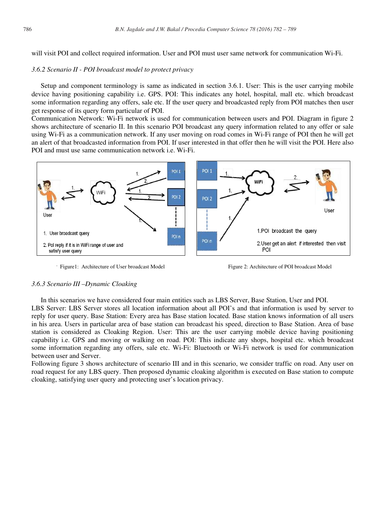will visit POI and collect required information. User and POI must user same network for communication Wi-Fi.

#### *3.6.2 Scenario II - POI broadcast model to protect privacy*

Setup and component terminology is same as indicated in section 3.6.1. User: This is the user carrying mobile device having positioning capability i.e. GPS. POI: This indicates any hotel, hospital, mall etc. which broadcast some information regarding any offers, sale etc. If the user query and broadcasted reply from POI matches then user get response of its query form particular of POI.

Communication Network: Wi-Fi network is used for communication between users and POI. Diagram in figure 2 shows architecture of scenario II. In this scenario POI broadcast any query information related to any offer or sale using Wi-Fi as a communication network. If any user moving on road comes in Wi-Fi range of POI then he will get an alert of that broadcasted information from POI. If user interested in that offer then he will visit the POI. Here also POI and must use same communication network i.e. Wi-Fi.



Figure 1: Architecture of User broadcast Model Figure 2: Architecture of POI broadcast Model

#### *3.6.3 Scenario III –Dynamic Cloaking*

In this scenarios we have considered four main entities such as LBS Server, Base Station, User and POI. LBS Server: LBS Server stores all location information about all POI's and that information is used by server to reply for user query. Base Station: Every area has Base station located. Base station knows information of all users in his area. Users in particular area of base station can broadcast his speed, direction to Base Station. Area of base station is considered as Cloaking Region. User: This are the user carrying mobile device having positioning capability i.e. GPS and moving or walking on road. POI: This indicate any shops, hospital etc. which broadcast some information regarding any offers, sale etc. Wi-Fi: Bluetooth or Wi-Fi network is used for communication between user and Server.

Following figure 3 shows architecture of scenario III and in this scenario, we consider traffic on road. Any user on road request for any LBS query. Then proposed dynamic cloaking algorithm is executed on Base station to compute cloaking, satisfying user query and protecting user's location privacy.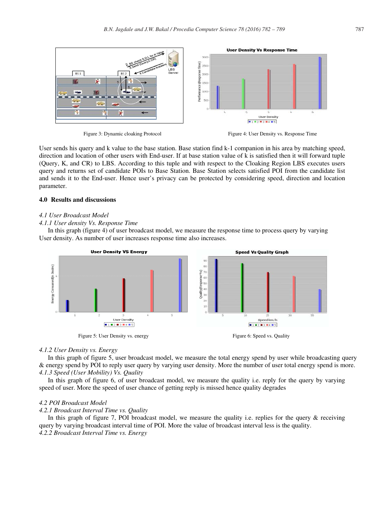



User sends his query and k value to the base station. Base station find k-1 companion in his area by matching speed, direction and location of other users with End-user. If at base station value of k is satisfied then it will forward tuple (Query, K, and CR) to LBS. According to this tuple and with respect to the Cloaking Region LBS executes users query and returns set of candidate POIs to Base Station. Base Station selects satisfied POI from the candidate list and sends it to the End-user. Hence user's privacy can be protected by considering speed, direction and location parameter.

#### **4.0 Results and discussions**

#### *4.1 User Broadcast Model*

#### *4.1.1 User density Vs. Response Time*

In this graph (figure 4) of user broadcast model, we measure the response time to process query by varying User density. As number of user increases response time also increases.



#### *4.1.2 User Density vs. Energy*

In this graph of figure 5, user broadcast model, we measure the total energy spend by user while broadcasting query & energy spend by POI to reply user query by varying user density. More the number of user total energy spend is more. *4.1.3 Speed (User Mobility) Vs. Quality* 

In this graph of figure 6, of user broadcast model, we measure the quality i.e. reply for the query by varying speed of user. More the speed of user chance of getting reply is missed hence quality degrades

#### *4.2 POI Broadcast Model*

#### *4.2.1 Broadcast Interval Time vs. Quality*

In this graph of figure 7, POI broadcast model, we measure the quality i.e. replies for the query  $\&$  receiving query by varying broadcast interval time of POI. More the value of broadcast interval less is the quality. *4.2.2 Broadcast Interval Time vs. Energy*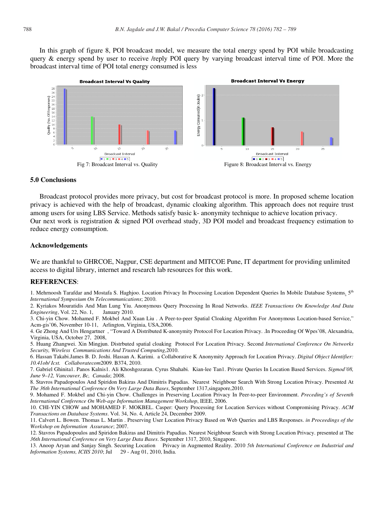In this graph of figure 8, POI broadcast model, we measure the total energy spend by POI while broadcasting query & energy spend by user to receive /reply POI query by varying broadcast interval time of POI. More the broadcast interval time of POI total energy consumed is less



#### **5.0 Conclusions**

Broadcast protocol provides more privacy, but cost for broadcast protocol is more. In proposed scheme location privacy is achieved with the help of broadcast, dynamic cloaking algorithm. This approach does not require trust among users for using LBS Service. Methods satisfy basic k- anonymity technique to achieve location privacy. Our next work is registration & signed POI overhead study, 3D POI model and broadcast frequency estimation to reduce energy consumption.

#### **Acknowledgements**

We are thankful to GHRCOE, Nagpur, CSE department and MITCOE Pune, IT department for providing unlimited access to digital library, internet and research lab resources for this work.

#### **REFERENCES**:

1. Mehrnoosh Tarafdar and Mostafa S. Haghjoo. Location Privacy In Processing Location Dependent Queries In Mobile Database Systems. 5<sup>th</sup> *International Symposium On Telecommunications*; 2010.

2. Kyriakos Mouratidis And Man Lung Yiu. Anonymous Query Processing In Road Networks. *IEEE Transactions On Knowledge And Data Engineering*, Vol. 22, No. 1, January 2010.

3. Chi-yin Chow. Mohamed F. Mokbel And Xuan Liu . A Peer-to-peer Spatial Cloaking Algorithm For Anonymous Location-based Service," Acm-gis'06, November 10-11, Arlington, Virginia, USA,2006.

4. Ge Zhong And Urs Hengartner , "Toward A Distributed K-anonymity Protocol For Location Privacy. .In Proceeding Of Wpes'08, Alexandria, Virginia, USA, October 27, 2008,

5. Huang Zhangwei. Xin Mingjun. Distrbuted spatial cloaking Protocol For Location Privacy. Second *International Conference On Networks Security, Wireless Communications And Trusted Computing*,2010.

6. Hassan Takabi.James B. D. Joshi. Hassan A. Karimi. a Collaborative K Anonymity Approach for Location Privacy. *Digital Object Identifier: 10.41ob/ Icst. Collaboratecom*2009. B374, 2010.

7. Gabriel Ghinita1. Panos Kalnis1. Ali Khoshgozaran. Cyrus Shahabi. Kian-lee Tan1. Private Queries In Location Based Services. *Sigmod'08, June 9–12, Vancouver, Bc, Canada*; 2008.

8. Stavros Papadopoulos And Spiridon Bakiras And Dimitris Papadias. Nearest Neighbour Search With Strong Location Privacy. Presented At *The 36th International Conference On Very Large Data Bases*, September 1317,singapore,2010.

9. Mohamed F. Mokbel and Chi-yin Chow. Challenges in Preserving Location Privacy In Peer-to-peer Environment. *Preceding's of Seventh International Conference On Web-age Information Management Workshop*, IEEE, 2006.

10. CHI-YIN CHOW and MOHAMED F. MOKBEL. Casper: Query Processing for Location Services without Compromising Privacy. *ACM Transactions on Database Systems*. Vol. 34, No. 4, Article 24, December 2009.

11. Calvert L. Bowen. Thomas L. Martin . Preserving User Location Privacy Based on Web Queries and LBS Responses. *in Proceedings of the Workshop on Information Assurance*; 2007.

12. Stavros Papadopoulos and Spiridon Bakiras and Dimitris Papadias. Nearest Neighbour Search with Strong Location Privacy. presented at The *36th International Conference on Very Large Data Bases*. September 1317, 2010, Singapore.

13. Anoop Aryan and Sanjay Singh. Securing Location Privacy in Augmented Reality. 2010 *5th International Conference on Industrial and Information Systems, ICIIS 2010*; Jul 29 - Aug 01, 2010, India.